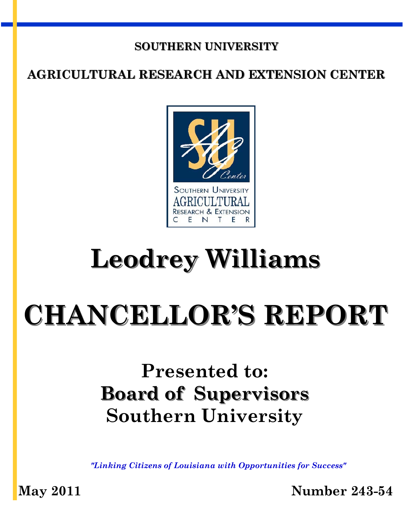#### **SOUTHERN UNIVERSITY**

#### **AGRICULTURAL RESEARCH AND EXTENSION CENTER**



## **Leodrey Williams**

# **CHANCELLOR'S REPORT**

## **Presented to: Board of Supervisors Southern University**

*"Linking Citizens of Louisiana with Opportunities for Success"* 

**May 2011 Number 243-54**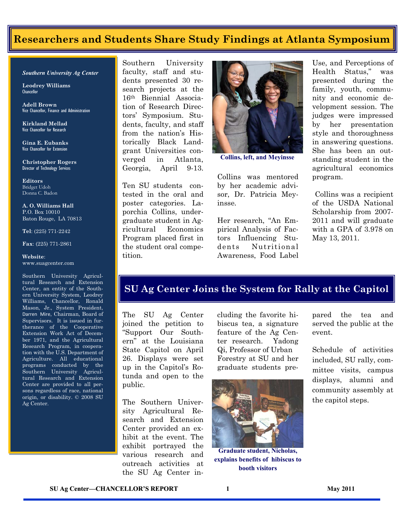#### **Researchers and Students Share Study Findings at Atlanta Symposium**

#### *Southern University Ag Center*

**Leodrey Williams**  Chancellor

**Adell Brown** Vice Chancellor, Finance and Administration

**Kirkland Mellad**  Vice Chancellor for Research

**Gina E. Eubanks**  Vice Chancellor for Extension

**Christopher Rogers** Director of Technology Services

**Editors**  Bridget Udoh Donna C. Badon

**A. O. Williams Hall**  P.O. Box 10010 Baton Rouge, LA 70813

**Tel**: (225) 771-2242

**Fax**: (225) 771-2861

#### **Website**: www.suagcenter.com

Southern University Agricultural Research and Extension Center, an entity of the Southern University System, Leodrey Williams, Chancellor, Ronald Mason, Jr., System President, Darren Mire, Chairman, Board of Supervisors. It is issued in furtherance of the Cooperative Extension Work Act of December 1971, and the Agricultural Research Program, in cooperation with the U.S. Department of Agriculture. All educational programs conducted by the Southern University Agricultural Research and Extension Center are provided to all persons regardless of race, national origin, or disability. © 2008 SU Ag Center.

Southern University faculty, staff and students presented 30 research projects at the 16th Biennial Association of Research Directors' Symposium. Students, faculty, and staff from the nation's Historically Black Landgrant Universities converged in Atlanta, Georgia, April 9-13.

Ten SU students contested in the oral and poster categories. Laporchia Collins, undergraduate student in Agricultural Economics Program placed first in the student oral competition.



**Collins, left, and Meyinsse** 

Collins was mentored by her academic advisor, Dr. Patricia Meyinsse.

Her research, "An Empirical Analysis of Factors Influencing Students Nutritional Awareness, Food Label

Use, and Perceptions of Health Status," was presented during the family, youth, community and economic development session. The judges were impressed by her presentation style and thoroughness in answering questions. She has been an outstanding student in the agricultural economics program.

 Collins was a recipient of the USDA National Scholarship from 2007- 2011 and will graduate with a GPA of 3.978 on May 13, 2011.

#### **SU Ag Center Joins the System for Rally at the Capitol**

The SU Ag Center joined the petition to ―Support Our Southern" at the Louisiana State Capitol on April 26. Displays were set up in the Capitol's Rotunda and open to the public.

The Southern University Agricultural Research and Extension Center provided an exhibit at the event. The exhibit portrayed the various research and outreach activities at the SU Ag Center including the favorite hibiscus tea, a signature feature of the Ag Center research. Yadong Qi, Professor of Urban Forestry at SU and her graduate students pre-



**Graduate student, Nicholas, explains benefits of hibiscus to booth visitors** 

pared the tea and served the public at the event.

Schedule of activities included, SU rally, committee visits, campus displays, alumni and community assembly at the capitol steps.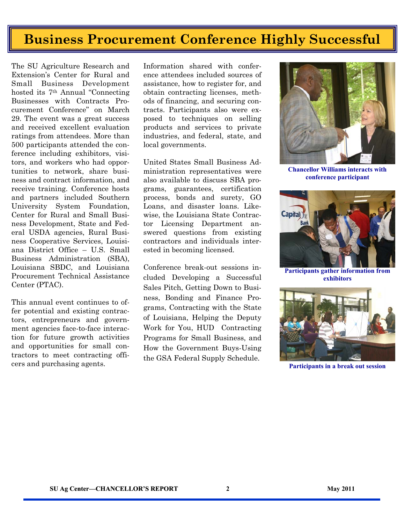### **Business Procurement Conference Highly Successful**

The SU Agriculture Research and Extension's Center for Rural and Small Business Development hosted its 7<sup>th</sup> Annual "Connecting" Businesses with Contracts Procurement Conference" on March 29. The event was a great success and received excellent evaluation ratings from attendees. More than 500 participants attended the conference including exhibitors, visitors, and workers who had opportunities to network, share business and contract information, and receive training. Conference hosts and partners included Southern University System Foundation, Center for Rural and Small Business Development, State and Federal USDA agencies, Rural Business Cooperative Services, Louisiana District Office – U.S. Small Business Administration (SBA), Louisiana SBDC, and Louisiana Procurement Technical Assistance Center (PTAC).

This annual event continues to offer potential and existing contractors, entrepreneurs and government agencies face-to-face interaction for future growth activities and opportunities for small contractors to meet contracting officers and purchasing agents.

Information shared with conference attendees included sources of assistance, how to register for, and obtain contracting licenses, methods of financing, and securing contracts. Participants also were exposed to techniques on selling products and services to private industries, and federal, state, and local governments.

United States Small Business Administration representatives were also available to discuss SBA programs, guarantees, certification process, bonds and surety, GO Loans, and disaster loans. Likewise, the Louisiana State Contractor Licensing Department answered questions from existing contractors and individuals interested in becoming licensed.

Conference break-out sessions included Developing a Successful Sales Pitch, Getting Down to Business, Bonding and Finance Programs, Contracting with the State of Louisiana, Helping the Deputy Work for You, HUD Contracting Programs for Small Business, and How the Government Buys-Using the GSA Federal Supply Schedule.



**Chancellor Williams interacts with conference participant** 



**Participants gather information from exhibitors** 



**Participants in a break out session**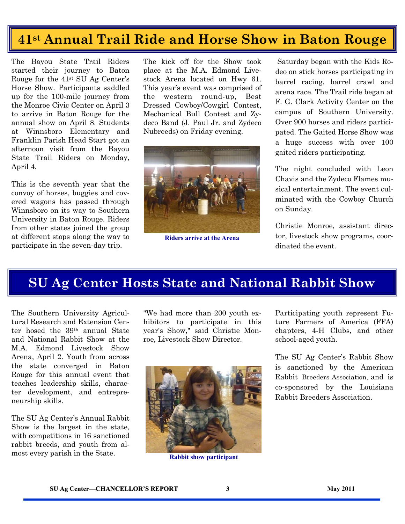### **41**<sup>st</sup> Annual Trail Ride and Horse Show in Baton Rouge

The Bayou State Trail Riders started their journey to Baton Rouge for the 41st SU Ag Center's Horse Show. Participants saddled up for the 100-mile journey from the Monroe Civic Center on April 3 to arrive in Baton Rouge for the annual show on April 8. Students at Winnsboro Elementary and Franklin Parish Head Start got an afternoon visit from the Bayou State Trail Riders on Monday, April 4.

This is the seventh year that the convoy of horses, buggies and covered wagons has passed through Winnsboro on its way to Southern University in Baton Rouge. Riders from other states joined the group at different stops along the way to participate in the seven-day trip.

The kick off for the Show took place at the M.A. Edmond Livestock Arena located on Hwy 61. This year's event was comprised of the western round-up, Best Dressed Cowboy/Cowgirl Contest, Mechanical Bull Contest and Zydeco Band (J. Paul Jr. and Zydeco Nubreeds) on Friday evening.



**Riders arrive at the Arena** 

 Saturday began with the Kids Rodeo on stick horses participating in barrel racing, barrel crawl and arena race. The Trail ride began at F. G. Clark Activity Center on the campus of Southern University. Over 900 horses and riders participated. The Gaited Horse Show was a huge success with over 100 gaited riders participating.

The night concluded with Leon Chavis and the Zydeco Flames musical entertainment. The event culminated with the Cowboy Church on Sunday.

Christie Monroe, assistant director, livestock show programs, coordinated the event.

#### **SU Ag Center Hosts State and National Rabbit Show**

The Southern University Agricultural Research and Extension Center hosed the 39th annual State and National Rabbit Show at the M.A. Edmond Livestock Show Arena, April 2. Youth from across the state converged in Baton Rouge for this annual event that teaches leadership skills, character development, and entrepreneurship skills.

The SU Ag Center's Annual Rabbit Show is the largest in the state, with competitions in 16 sanctioned rabbit breeds, and youth from almost every parish in the State.

"We had more than 200 youth exhibitors to participate in this year's Show," said Christie Monroe, Livestock Show Director.



**Rabbit show participant** 

Participating youth represent Future Farmers of America (FFA) chapters, 4-H Clubs, and other school-aged youth.

The SU Ag Center's Rabbit Show is sanctioned by the American Rabbit Breeders Association, and is co-sponsored by the Louisiana Rabbit Breeders Association.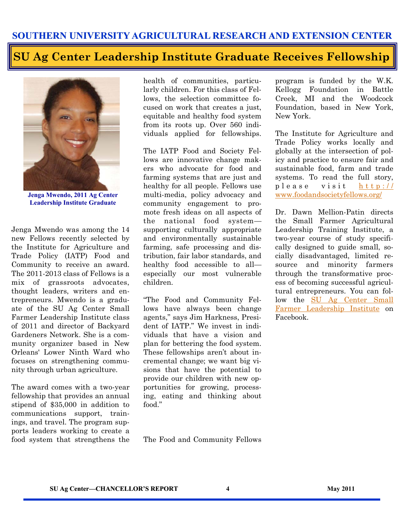#### **SU Ag Center Leadership Institute Graduate Receives Fellowship**



**Jenga Mwendo, 2011 Ag Center Leadership Institute Graduate** 

Jenga Mwendo was among the 14 new Fellows recently selected by the Institute for Agriculture and Trade Policy (IATP) Food and Community to receive an award. The 2011-2013 class of Fellows is a mix of grassroots advocates, thought leaders, writers and entrepreneurs. Mwendo is a graduate of the SU Ag Center Small Farmer Leadership Institute class of 2011 and director of Backyard Gardeners Network. She is a community organizer based in New Orleans' Lower Ninth Ward who focuses on strengthening community through urban agriculture.

The award comes with a two-year fellowship that provides an annual stipend of \$35,000 in addition to communications support, trainings, and travel. The program supports leaders working to create a food system that strengthens the health of communities, particularly children. For this class of Fellows, the selection committee focused on work that creates a just, equitable and healthy food system from its roots up. Over 560 individuals applied for fellowships.

The IATP Food and Society Fellows are innovative change makers who advocate for food and farming systems that are just and healthy for all people. Fellows use multi-media, policy advocacy and community engagement to promote fresh ideas on all aspects of the national food system supporting culturally appropriate and environmentally sustainable farming, safe processing and distribution, fair labor standards, and healthy food accessible to all especially our most vulnerable children.

―The Food and Community Fellows have always been change agents," says Jim Harkness, President of IATP." We invest in individuals that have a vision and plan for bettering the food system. These fellowships aren't about incremental change; we want big visions that have the potential to provide our children with new opportunities for growing, processing, eating and thinking about food."

The Food and Community Fellows

program is funded by the W.K. Kellogg Foundation in Battle Creek, MI and the Woodcock Foundation, based in New York, New York.

The Institute for Agriculture and Trade Policy works locally and globally at the intersection of policy and practice to ensure fair and sustainable food, farm and trade systems. To read the full story, p l e a s e v i s i t h t t p : // [www.foodandsocietyfellows.org/](http://www.foodandsocietyfellows.org/)

Dr. Dawn Mellion-Patin directs the Small Farmer Agricultural Leadership Training Institute, a two-year course of study specifically designed to guide small, socially disadvantaged, limited resource and minority farmers through the transformative process of becoming successful agricultural entrepreneurs. You can follow the [SU Ag Center Small](http://www.facebook.com/home.php#!/pages/Small-Farmer-Agricultural-Leadership-Institute/115169218522140)  [Farmer Leadership Institute o](http://www.facebook.com/home.php#!/pages/Small-Farmer-Agricultural-Leadership-Institute/115169218522140)n Facebook.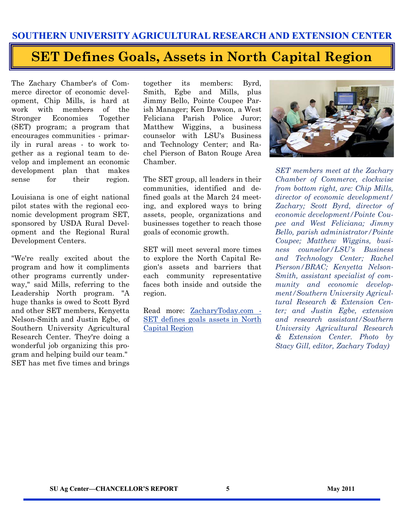#### **SET Defines Goals, Assets in North Capital Region**

The Zachary Chamber's of Commerce director of economic development, Chip Mills, is hard at work with members of the Stronger Economies Together (SET) program; a program that encourages communities - primarily in rural areas - to work together as a regional team to develop and implement an economic development plan that makes sense for their region.

Louisiana is one of eight national pilot states with the regional economic development program SET, sponsored by USDA Rural Development and the Regional Rural Development Centers.

"We're really excited about the program and how it compliments other programs currently underway," said Mills, referring to the Leadership North program. "A huge thanks is owed to Scott Byrd and other SET members, Kenyetta Nelson-Smith and Justin Egbe, of Southern University Agricultural Research Center. They're doing a wonderful job organizing this program and helping build our team." SET has met five times and brings

together its members: Byrd, Smith, Egbe and Mills, plus Jimmy Bello, Pointe Coupee Parish Manager; Ken Dawson, a West Feliciana Parish Police Juror; Matthew Wiggins, a business counselor with LSU's Business and Technology Center; and Rachel Pierson of Baton Rouge Area Chamber.

The SET group, all leaders in their communities, identified and defined goals at the March 24 meeting, and explored ways to bring assets, people, organizations and businesses together to reach those goals of economic growth.

SET will meet several more times to explore the North Capital Region's assets and barriers that each community representative faces both inside and outside the region.

Read more: [ZacharyToday.com -](http://zacharytoday.com/view/full_story/12623401/article-SET-defines-goals--assets%C2%A0in-North-Capital-Region#ixzz1JsfqY4rU) [SET defines goals assets in North](http://zacharytoday.com/view/full_story/12623401/article-SET-defines-goals--assets%C2%A0in-North-Capital-Region#ixzz1JsfqY4rU)  [Capital Region](http://zacharytoday.com/view/full_story/12623401/article-SET-defines-goals--assets%C2%A0in-North-Capital-Region#ixzz1JsfqY4rU)



*SET members meet at the Zachary Chamber of Commerce, clockwise from bottom right, are: Chip Mills, director of economic development/ Zachary; Scott Byrd, director of economic development/Pointe Coupee and West Feliciana; Jimmy Bello, parish administrator/Pointe Coupee; Matthew Wiggins, business counselor/LSU's Business and Technology Center; Rachel Pierson/BRAC; Kenyetta Nelson-Smith, assistant specialist of community and economic development/Southern University Agricultural Research & Extension Center; and Justin Egbe, extension and research assistant/Southern University Agricultural Research & Extension Center. Photo by Stacy Gill, editor, Zachary Today)*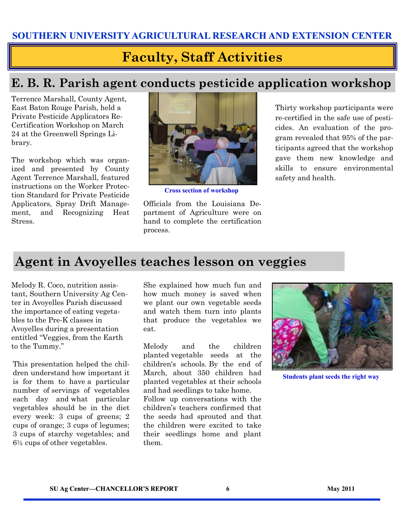#### **Faculty, Staff Activities**

#### **E. B. R. Parish agent conducts pesticide application workshop**

Terrence Marshall, County Agent, East Baton Rouge Parish, held a Private Pesticide Applicators Re-Certification Workshop on March 24 at the Greenwell Springs Library.

The workshop which was organized and presented by County Agent Terrence Marshall, featured instructions on the Worker Protection Standard for Private Pesticide Applicators, Spray Drift Management, and Recognizing Heat Stress.



**Cross section of workshop** 

Officials from the Louisiana Department of Agriculture were on hand to complete the certification process.

Thirty workshop participants were re-certified in the safe use of pesticides. An evaluation of the program revealed that 95% of the participants agreed that the workshop gave them new knowledge and skills to ensure environmental safety and health.

#### **Agent in Avoyelles teaches lesson on veggies**

Melody R. Coco, nutrition assistant, Southern University Ag Center in Avoyelles Parish discussed the importance of eating vegetables to the Pre-K classes in Avoyelles during a presentation entitled "Veggies, from the Earth" to the Tummy."

This presentation helped the children understand how important it is for them to have a particular number of servings of vegetables each day and what particular vegetables should be in the diet every week: 3 cups of greens; 2 cups of orange; 3 cups of legumes; 3 cups of starchy vegetables; and 6½ cups of other vegetables.

She explained how much fun and how much money is saved when we plant our own vegetable seeds and watch them turn into plants that produce the vegetables we eat.

Melody and the children planted vegetable seeds at the children's schools. By the end of March, about 350 children had planted vegetables at their schools and had seedlings to take home.

Follow up conversations with the children's teachers confirmed that the seeds had sprouted and that the children were excited to take their seedlings home and plant them.



**Students plant seeds the right way**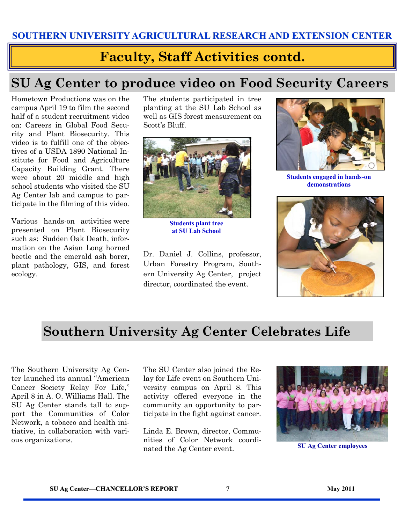#### **Faculty, Staff Activities contd.**

#### **SU Ag Center to produce video on Food Security Careers**

Hometown Productions was on the campus April 19 to film the second half of a student recruitment video on: Careers in Global Food Security and Plant Biosecurity. This video is to fulfill one of the objectives of a USDA 1890 National Institute for Food and Agriculture Capacity Building Grant. There were about 20 middle and high school students who visited the SU Ag Center lab and campus to participate in the filming of this video.

Various hands-on activities were presented on Plant Biosecurity such as: Sudden Oak Death, information on the Asian Long horned beetle and the emerald ash borer, plant pathology, GIS, and forest ecology.

The students participated in tree planting at the SU Lab School as well as GIS forest measurement on Scott's Bluff.



**Students plant tree at SU Lab School** 

Dr. Daniel J. Collins, professor, Urban Forestry Program, Southern University Ag Center, project director, coordinated the event.



**Students engaged in hands-on demonstrations** 



#### **Southern University Ag Center Celebrates Life**

The Southern University Ag Center launched its annual "American Cancer Society Relay For Life," April 8 in A. O. Williams Hall. The SU Ag Center stands tall to support the Communities of Color Network, a tobacco and health initiative, in collaboration with various organizations.

The SU Center also joined the Relay for Life event on Southern University campus on April 8. This activity offered everyone in the community an opportunity to participate in the fight against cancer.

Linda E. Brown, director, Communities of Color Network coordinated the Ag Center event.



**SU Ag Center employees**